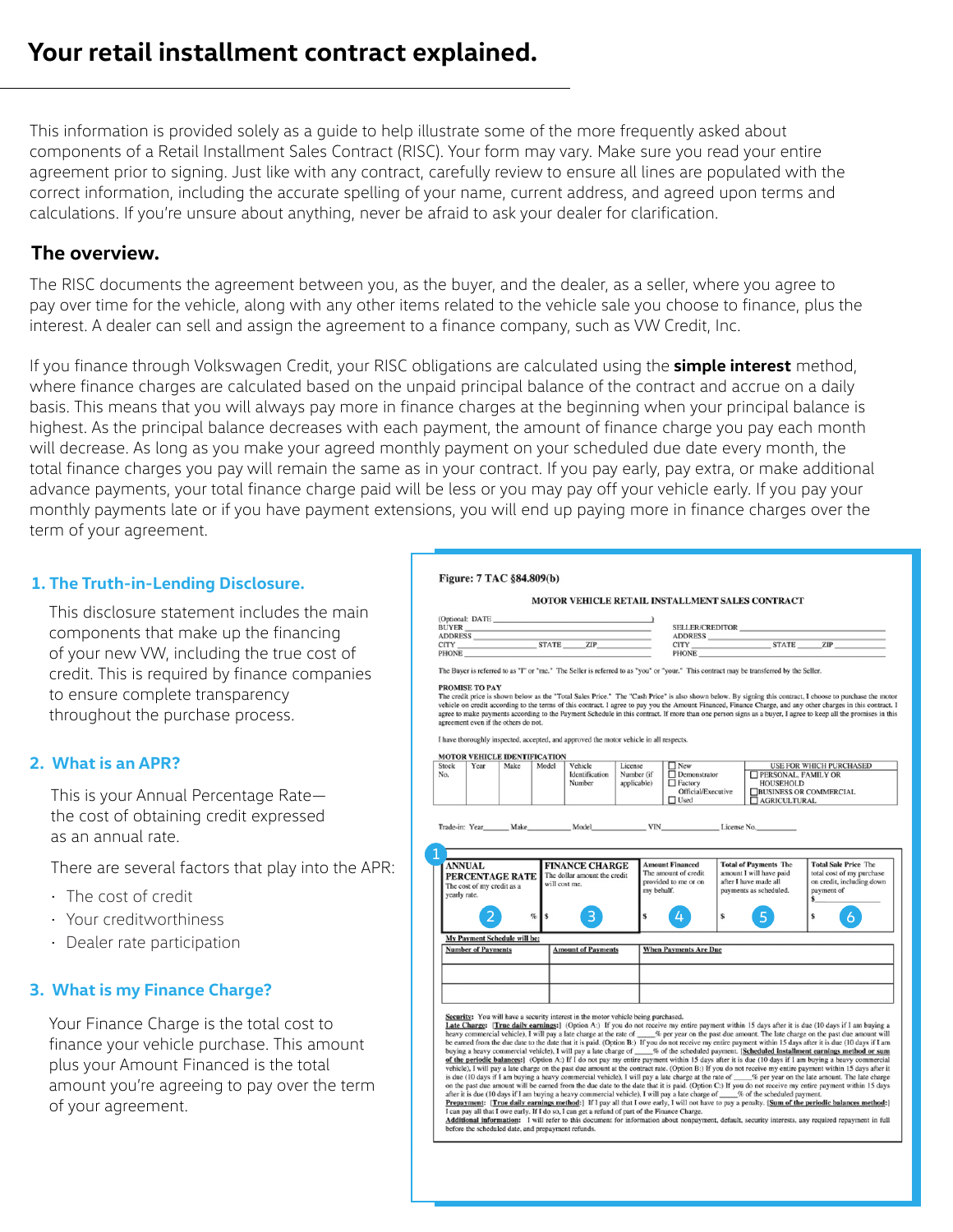This information is provided solely as a guide to help illustrate some of the more frequently asked about components of a Retail Installment Sales Contract (RISC). Your form may vary. Make sure you read your entire agreement prior to signing. Just like with any contract, carefully review to ensure all lines are populated with the correct information, including the accurate spelling of your name, current address, and agreed upon terms and calculations. If you're unsure about anything, never be afraid to ask your dealer for clarification.

# **The overview.**

The RISC documents the agreement between you, as the buyer, and the dealer, as a seller, where you agree to pay over time for the vehicle, along with any other items related to the vehicle sale you choose to finance, plus the interest. A dealer can sell and assign the agreement to a finance company, such as VW Credit, Inc.

If you finance through Volkswagen Credit, your RISC obligations are calculated using the **simple interest** method, where finance charges are calculated based on the unpaid principal balance of the contract and accrue on a daily basis. This means that you will always pay more in finance charges at the beginning when your principal balance is highest. As the principal balance decreases with each payment, the amount of finance charge you pay each month will decrease. As long as you make your agreed monthly payment on your scheduled due date every month, the total finance charges you pay will remain the same as in your contract. If you pay early, pay extra, or make additional advance payments, your total finance charge paid will be less or you may pay off your vehicle early. If you pay your monthly payments late or if you have payment extensions, you will end up paying more in finance charges over the term of your agreement.

## **1. The Truth-in-Lending Disclosure.**

This disclosure statement includes the main components that make up the financing of your new VW, including the true cost of credit. This is required by finance companies to ensure complete transparency throughout the purchase process.

## **2. What is an APR?**

This is your Annual Percentage Rate the cost of obtaining credit expressed as an annual rate.

There are several factors that play into the APR:

- The cost of credit
- Your creditworthiness
- Dealer rate participation

## **3. What is my Finance Charge?**

Your Finance Charge is the total cost to finance your vehicle purchase. This amount plus your Amount Financed is the total amount you're agreeing to pay over the term of your agreement.

|       |                                                             |                                                 |       |                                                                                        |                             | <b>MOTOR VEHICLE RETAIL INSTALLMENT SALES CONTRACT</b>                                                                                 |                                    |                                                                                                            |                                                                                                                                                                                                                                                                                                                               |  |
|-------|-------------------------------------------------------------|-------------------------------------------------|-------|----------------------------------------------------------------------------------------|-----------------------------|----------------------------------------------------------------------------------------------------------------------------------------|------------------------------------|------------------------------------------------------------------------------------------------------------|-------------------------------------------------------------------------------------------------------------------------------------------------------------------------------------------------------------------------------------------------------------------------------------------------------------------------------|--|
|       |                                                             |                                                 |       |                                                                                        |                             |                                                                                                                                        |                                    |                                                                                                            |                                                                                                                                                                                                                                                                                                                               |  |
|       |                                                             |                                                 |       |                                                                                        |                             |                                                                                                                                        |                                    |                                                                                                            |                                                                                                                                                                                                                                                                                                                               |  |
|       | <b>ADDRESS</b>                                              |                                                 |       |                                                                                        |                             | ADDRESS                                                                                                                                |                                    |                                                                                                            | ADDRESS CITY STATE ZIP                                                                                                                                                                                                                                                                                                        |  |
|       |                                                             |                                                 |       | <b>PHONE</b>                                                                           |                             |                                                                                                                                        |                                    | <b>PHONE</b>                                                                                               |                                                                                                                                                                                                                                                                                                                               |  |
|       |                                                             |                                                 |       |                                                                                        |                             | The Buyer is referred to as "I" or "me." The Seller is referred to as "you" or "your." This contract may be transferred by the Seller. |                                    |                                                                                                            |                                                                                                                                                                                                                                                                                                                               |  |
|       | PROMISE TO PAY                                              |                                                 |       |                                                                                        |                             |                                                                                                                                        |                                    |                                                                                                            |                                                                                                                                                                                                                                                                                                                               |  |
|       |                                                             | agreement even if the others do not.            |       |                                                                                        |                             |                                                                                                                                        |                                    |                                                                                                            | vehicle on credit according to the terms of this contract. I agree to pay you the Amount Financed, Finance Charge, and any other charges in this contract. I<br>agree to make payments according to the Payment Schedule in this contract. If more than one person signs as a buyer, I agree to keep all the promises in this |  |
|       |                                                             |                                                 |       | I have thoroughly inspected, accepted, and approved the motor vehicle in all respects. |                             |                                                                                                                                        |                                    |                                                                                                            |                                                                                                                                                                                                                                                                                                                               |  |
| Stock |                                                             | <b>MOTOR VEHICLE IDENTIFICATION</b>             |       |                                                                                        |                             | $\Box$ New                                                                                                                             |                                    |                                                                                                            |                                                                                                                                                                                                                                                                                                                               |  |
| No.   | Year                                                        | Make                                            | Model | Vehicle<br>Identification                                                              | License<br>Number (if       | $\Box$ Demonstrator                                                                                                                    |                                    | PERSONAL, FAMILY OR                                                                                        | <b>USE FOR WHICH PURCHASED</b>                                                                                                                                                                                                                                                                                                |  |
|       |                                                             |                                                 |       | Number                                                                                 | applicable)                 |                                                                                                                                        | $\Box$ Factory<br><b>HOUSEHOLD</b> |                                                                                                            |                                                                                                                                                                                                                                                                                                                               |  |
|       |                                                             |                                                 |       |                                                                                        |                             | <b>Official/Executive</b>                                                                                                              |                                    | <b>BUSINESS OR COMMERCIAL</b>                                                                              |                                                                                                                                                                                                                                                                                                                               |  |
|       |                                                             |                                                 |       |                                                                                        | AGRICULTURAL<br>$\Box$ Used |                                                                                                                                        |                                    |                                                                                                            |                                                                                                                                                                                                                                                                                                                               |  |
|       |                                                             |                                                 |       | <b>FINANCE CHARGE</b>                                                                  |                             | <b>Amount Financed</b><br>The amount of credit                                                                                         |                                    | <b>Total of Payments The</b><br>amount I will have paid<br>after I have made all<br>payments as scheduled. | <b>Total Sale Price The</b><br>total cost of my purchase<br>on credit, including down                                                                                                                                                                                                                                         |  |
|       | <b>ANNUAL</b><br>The cost of my credit as a<br>yearly rate. | PERCENTAGE RATE<br>My Payment Schedule will be: | g,    | The dollar amount the credit<br>will cost me.<br>3                                     | \$                          | provided to me or on<br>my behalf.<br>4                                                                                                | \$                                 | 5 <sup>1</sup>                                                                                             | payment of<br>$\mathbf{s}$<br>\$<br>6                                                                                                                                                                                                                                                                                         |  |
|       | <b>Number of Payments</b>                                   |                                                 |       | <b>Amount of Payments</b>                                                              |                             | <b>When Payments Are Due</b>                                                                                                           |                                    |                                                                                                            |                                                                                                                                                                                                                                                                                                                               |  |

**of the periodic balances:** (Option A.) If I do not pay my entire payment within 15 days after it is due (10 days if I am buying a heavy commercial vehicle). I will pay a late charge of the past of the contact rate. (Opti